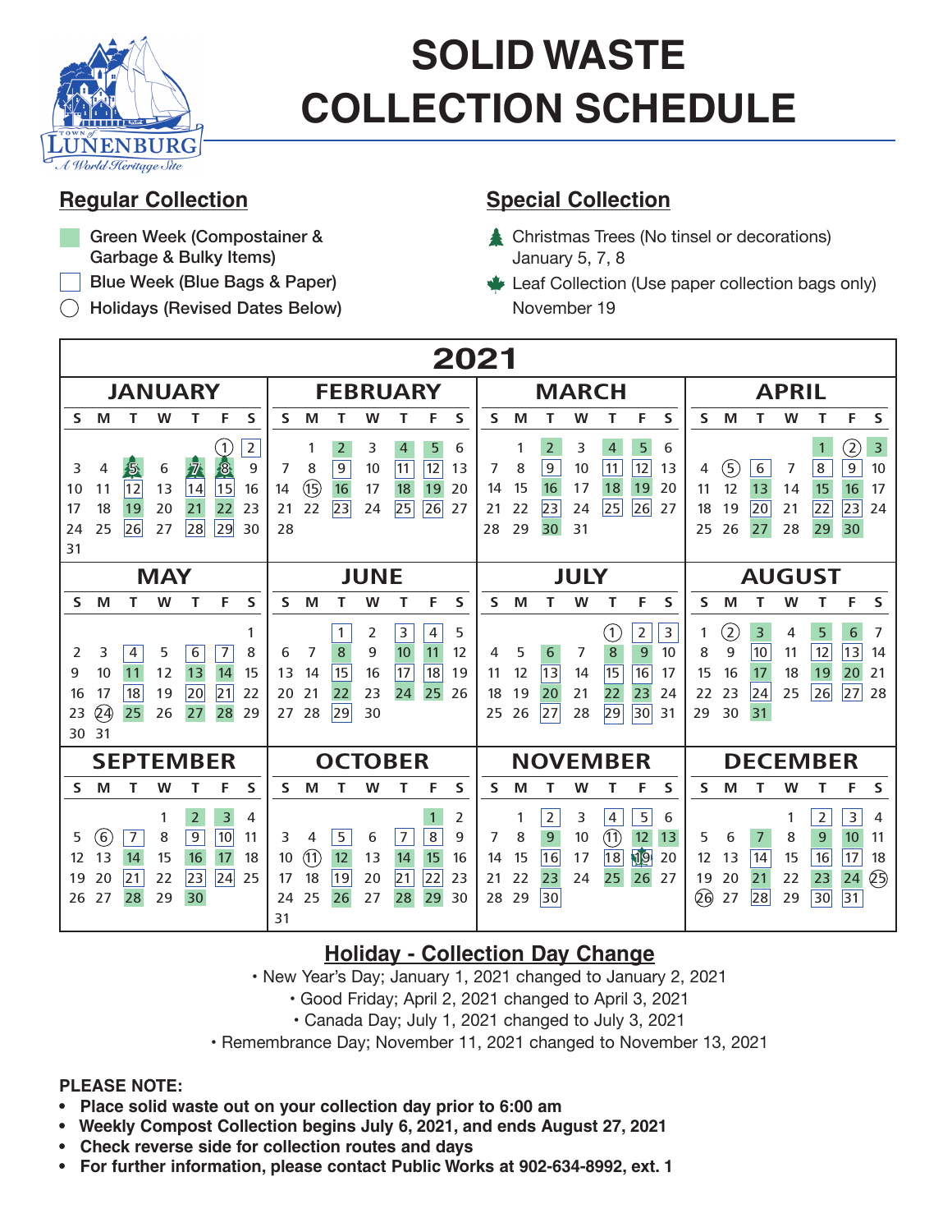

# **SOLID WASTE COLLECTION SCHEDULE**

- Green Week (Compostainer & Garbage & Bulky Items)
- Blue Week (Blue Bags & Paper)
- Holidays (Revised Dates Below)

### **Regular Collection Special Collection**

- Christmas Trees (No tinsel or decorations) January 5, 7, 8
- Leaf Collection (Use paper collection bags only) November 19

| 2021                                                                                                                                                                                                               |                                                                                                                                                                                                         |                                                                                                                                                                                                                        |                                                                                                                                                                                                                                     |
|--------------------------------------------------------------------------------------------------------------------------------------------------------------------------------------------------------------------|---------------------------------------------------------------------------------------------------------------------------------------------------------------------------------------------------------|------------------------------------------------------------------------------------------------------------------------------------------------------------------------------------------------------------------------|-------------------------------------------------------------------------------------------------------------------------------------------------------------------------------------------------------------------------------------|
| <b>JANUARY</b>                                                                                                                                                                                                     | <b>FEBRUARY</b>                                                                                                                                                                                         | <b>MARCH</b>                                                                                                                                                                                                           | <b>APRIL</b>                                                                                                                                                                                                                        |
| F<br>M<br>W<br>т<br>S<br><sub>S</sub><br>т                                                                                                                                                                         | S<br>M<br>W<br>Т<br>F<br>S<br>т                                                                                                                                                                         | S<br>S<br>M<br>т<br>W<br>Т<br>F.                                                                                                                                                                                       | F<br>S<br>Т<br>W<br>S<br>M<br>т                                                                                                                                                                                                     |
| $\overline{2}$<br>1<br>8<br>15<br><u>尽</u><br>$\frac{1}{2}$<br>$\frac{1}{4}$<br>9<br>3<br>4<br>6<br>16<br>11<br>13<br>10<br>18<br>22<br>19<br>20<br>17<br>21<br>23<br>25<br>26<br>28<br>29<br>27<br>24<br>30<br>31 | $\overline{2}$<br>5<br>3<br>4<br>6<br>12<br>$\overline{9}$<br>11<br>7<br>8<br>13<br>10<br>$\circled{1}$<br>16<br>19<br>14<br>17<br>18<br>20<br> 23 <br>22<br>25<br>26<br>27<br>24<br>21<br>28           | $\overline{2}$<br>5<br>3<br>$\overline{4}$<br>6<br>1<br>12<br>$\boldsymbol{9}$<br>11<br>10<br>7<br>8<br>13<br>19<br>15<br>17<br>18<br>20<br>16<br>14<br>26<br>23<br>25<br>22<br>27<br>24<br>21<br>29<br>30<br>31<br>28 | $\rm (2)$<br>$\overline{3}$<br>$\mathbf{1}$<br>$\overline{8}$<br>$\overline{9}$<br>(5)<br>6<br>10<br>7<br>4<br>12<br>15<br>16<br>17<br>13<br>14<br>11<br>22<br>23<br>18<br>19<br>20<br>21<br>24<br>26<br>29<br>30<br>25<br>28<br>27 |
| <b>MAY</b>                                                                                                                                                                                                         | <b>JUNE</b>                                                                                                                                                                                             | <b>JULY</b>                                                                                                                                                                                                            | <b>AUGUST</b>                                                                                                                                                                                                                       |
| S<br>S<br>W<br>Т<br>F<br>M<br>т                                                                                                                                                                                    | F<br>S<br>W<br>Т<br>S<br>M<br>Т                                                                                                                                                                         | S<br>W<br>Т<br>F<br>S<br>M<br>т                                                                                                                                                                                        | S<br>W<br>F<br>S<br>M<br>Т<br>т                                                                                                                                                                                                     |
| 1<br>6<br>7<br>3<br>4<br>5<br>8<br>2<br>10<br>13<br>14<br>15<br>9<br>11<br>12<br>20<br> 21<br>18<br>19<br>17<br>22<br>16<br>24)<br>25<br>27<br>28<br>23<br>26<br>29<br>31<br>30                                    | $\overline{4}$<br>1<br>3<br>5<br>2<br>11<br>7<br>8<br>10<br>12<br>6<br>9<br>15<br>17<br>18<br>13<br>14<br>19<br>16<br>23<br>21<br>22<br>25<br>26<br>20<br>24<br>29<br>30<br>28<br>27                    | $\mathsf 3$<br>2<br>(1)<br>$\boldsymbol{8}$<br>$\overline{9}$<br>10<br>5<br>7<br>4<br>6<br>16<br>15<br>13<br>12<br>11<br>14<br>17<br>22<br>23<br>21<br>24<br>18<br>19<br>20<br>29<br>30<br>26<br>27<br>25<br>28<br>31  | $\circled{2}$<br>5<br>3<br>6<br>7<br>4<br>12<br>13<br>9<br>10<br>11<br>8<br>14<br>19<br>20<br>15<br>16<br>18<br>21<br>17<br>26<br> 27 <br>23<br>25<br>28<br>22<br> 24<br>30<br>31<br>29                                             |
| <b>SEPTEMBER</b>                                                                                                                                                                                                   | <b>OCTOBER</b>                                                                                                                                                                                          | <b>NOVEMBER</b>                                                                                                                                                                                                        | <b>DECEMBER</b>                                                                                                                                                                                                                     |
| S<br>S<br>M<br>W<br>т<br>F                                                                                                                                                                                         | S<br>M<br>W<br>F<br>S<br>Т<br>т                                                                                                                                                                         | S<br>М<br>т<br>W<br>F<br>S<br>Т                                                                                                                                                                                        | F<br>S<br>S<br>М<br>Т<br>W<br>т                                                                                                                                                                                                     |
| $\overline{2}$<br>3<br>4<br>1<br>10<br>(6)<br>7<br>9<br>5<br>8<br>11<br>13<br>17<br>14<br>15<br>16<br>18<br>12<br> 24 <br>23<br>20<br>19<br> 21<br>22<br>25<br>30<br>26<br>29<br>27<br>28                          | 2<br>$\mathbf{1}$<br>8<br>5<br>$\overline{7}$<br>9<br>3<br>6<br>4<br>(1)<br>12<br>13<br>15<br>16<br>10<br>14<br>19<br>22<br> 21<br>18<br>20<br>17<br>23<br>25<br>27<br>29<br>24<br>26<br>28<br>30<br>31 | 5<br>$\overline{2}$<br>3<br>4<br>6<br>1<br>$\textcircled{\scriptsize{1}}$<br>12<br>9<br>7<br>8<br>13<br>10<br>19<br> 18 <br>20<br>16<br>15<br>17<br>14<br>22<br>23<br>25<br>26<br>27<br>24<br>21<br>30<br>29<br>28     | $\overline{2}$<br>$\mathsf 3$<br>4<br>1<br>$\boldsymbol{9}$<br>10<br>5<br>6<br>8<br>11<br>7<br>16<br>13<br>14<br>15<br>17<br>18<br>12<br>හි<br>23<br>24<br>22<br>19<br>20<br>21<br>26)<br>31<br>30<br>28<br>29<br>27                |

## **Holiday - Collection Day Change**

• New Year's Day; January 1, 2021 changed to January 2, 2021

• Good Friday; April 2, 2021 changed to April 3, 2021

• Canada Day; July 1, 2021 changed to July 3, 2021

• Remembrance Day; November 11, 2021 changed to November 13, 2021

#### **PLEASE NOTE:**

- **Place solid waste out on your collection day prior to 6:00 am**
- **Weekly Compost Collection begins July 6, 2021, and ends August 27, 2021**
- **Check reverse side for collection routes and days**
- **For further information, please contact Public Works at 902-634-8992, ext. 1**